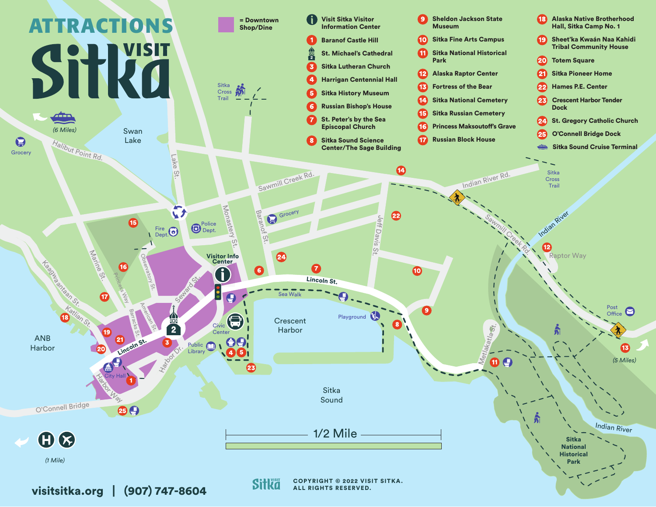